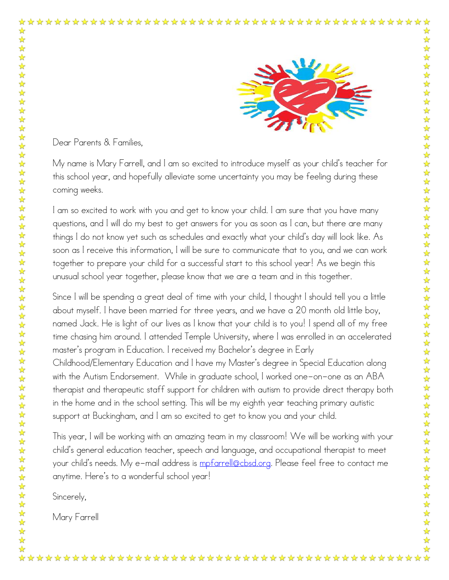

Dear Parents & Families,

My name is Mary Farrell, and I am so excited to introduce myself as your child's teacher for this school year, and hopefully alleviate some uncertainty you may be feeling during these coming weeks.

I am so excited to work with you and get to know your child. I am sure that you have many questions, and I will do my best to get answers for you as soon as I can, but there are many things I do not know yet such as schedules and exactly what your child's day will look like. As soon as I receive this information, I will be sure to communicate that to you, and we can work together to prepare your child for a successful start to this school year! As we begin this unusual school year together, please know that we are a team and in this together.

Since I will be spending a great deal of time with your child, I thought I should tell you a little about myself. I have been married for three years, and we have a 20 month old little boy, named Jack. He is light of our lives as I know that your child is to you! I spend all of my free time chasing him around. I attended Temple University, where I was enrolled in an accelerated master's program in Education. I received my Bachelor's degree in Early Childhood/Elementary Education and I have my Master's degree in Special Education along with the Autism Endorsement. While in graduate school, I worked one-on-one as an ABA therapist and therapeutic staff support for children with autism to provide direct therapy both in the home and in the school setting. This will be my eighth year teaching primary autistic support at Buckingham, and I am so excited to get to know you and your child.

This year, I will be working with an amazing team in my classroom! We will be working with your child's general education teacher, speech and language, and occupational therapist to meet your child's needs. My e-mail address is [mpfarrell@cbsd.org.](mailto:mpfarrell@cbsd.org) Please feel free to contact me anytime. Here's to a wonderful school year!

Sincerely,

Mary Farrell

☆

☆